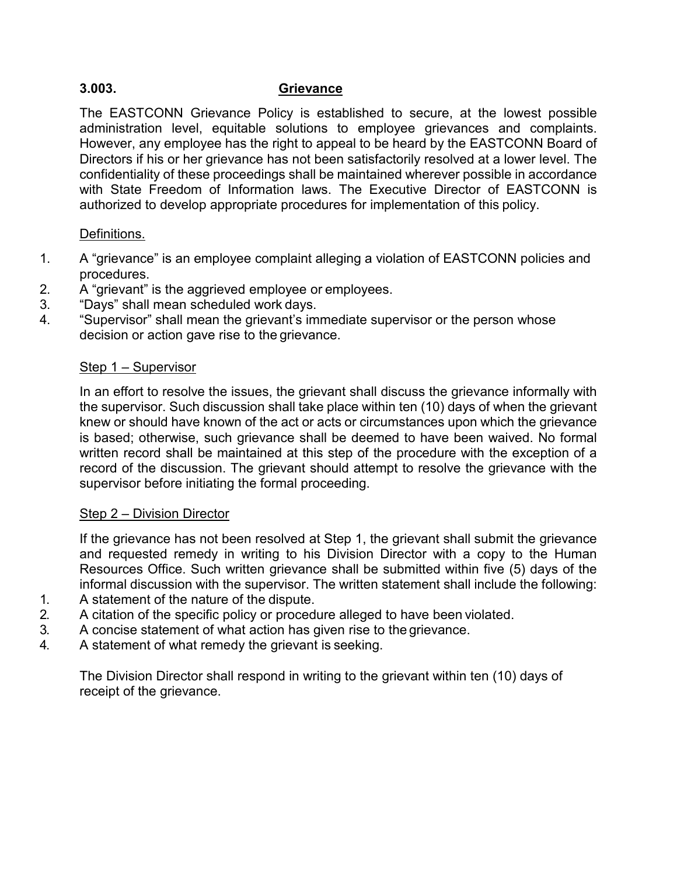# **3.003. Grievance**

The EASTCONN Grievance Policy is established to secure, at the lowest possible administration level, equitable solutions to employee grievances and complaints. However, any employee has the right to appeal to be heard by the EASTCONN Board of Directors if his or her grievance has not been satisfactorily resolved at a lower level. The confidentiality of these proceedings shall be maintained wherever possible in accordance with State Freedom of Information laws. The Executive Director of EASTCONN is authorized to develop appropriate procedures for implementation of this policy.

## Definitions.

- 1. A "grievance" is an employee complaint alleging a violation of EASTCONN policies and procedures.
- 2. A "grievant" is the aggrieved employee or employees.
- 3. "Days" shall mean scheduled work days.
- 4. "Supervisor" shall mean the grievant's immediate supervisor or the person whose decision or action gave rise to the grievance.

### Step 1 – Supervisor

In an effort to resolve the issues, the grievant shall discuss the grievance informally with the supervisor. Such discussion shall take place within ten (10) days of when the grievant knew or should have known of the act or acts or circumstances upon which the grievance is based; otherwise, such grievance shall be deemed to have been waived. No formal written record shall be maintained at this step of the procedure with the exception of a record of the discussion. The grievant should attempt to resolve the grievance with the supervisor before initiating the formal proceeding.

#### Step 2 – Division Director

If the grievance has not been resolved at Step 1, the grievant shall submit the grievance and requested remedy in writing to his Division Director with a copy to the Human Resources Office. Such written grievance shall be submitted within five (5) days of the informal discussion with the supervisor. The written statement shall include the following:

- 1. A statement of the nature of the dispute.
- 2. A citation of the specific policy or procedure alleged to have been violated.
- 3. A concise statement of what action has given rise to the grievance.
- 4. A statement of what remedy the grievant is seeking.

The Division Director shall respond in writing to the grievant within ten (10) days of receipt of the grievance.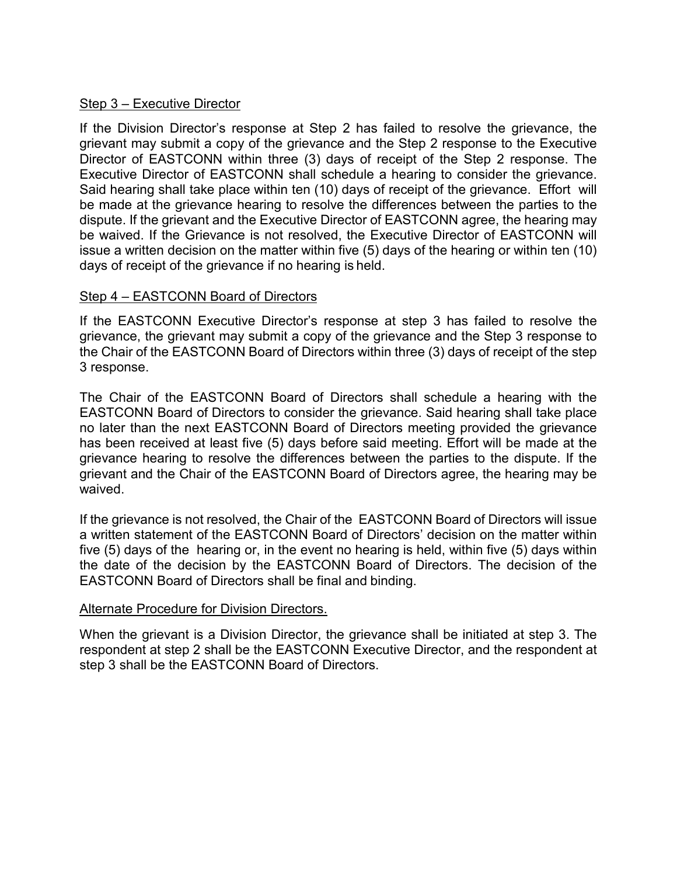#### Step 3 – Executive Director

If the Division Director's response at Step 2 has failed to resolve the grievance, the grievant may submit a copy of the grievance and the Step 2 response to the Executive Director of EASTCONN within three (3) days of receipt of the Step 2 response. The Executive Director of EASTCONN shall schedule a hearing to consider the grievance. Said hearing shall take place within ten (10) days of receipt of the grievance. Effort will be made at the grievance hearing to resolve the differences between the parties to the dispute. If the grievant and the Executive Director of EASTCONN agree, the hearing may be waived. If the Grievance is not resolved, the Executive Director of EASTCONN will issue a written decision on the matter within five (5) days of the hearing or within ten (10) days of receipt of the grievance if no hearing is held.

### Step 4 – EASTCONN Board of Directors

If the EASTCONN Executive Director's response at step 3 has failed to resolve the grievance, the grievant may submit a copy of the grievance and the Step 3 response to the Chair of the EASTCONN Board of Directors within three (3) days of receipt of the step 3 response.

The Chair of the EASTCONN Board of Directors shall schedule a hearing with the EASTCONN Board of Directors to consider the grievance. Said hearing shall take place no later than the next EASTCONN Board of Directors meeting provided the grievance has been received at least five (5) days before said meeting. Effort will be made at the grievance hearing to resolve the differences between the parties to the dispute. If the grievant and the Chair of the EASTCONN Board of Directors agree, the hearing may be waived.

If the grievance is not resolved, the Chair of the EASTCONN Board of Directors will issue a written statement of the EASTCONN Board of Directors' decision on the matter within five (5) days of the hearing or, in the event no hearing is held, within five (5) days within the date of the decision by the EASTCONN Board of Directors. The decision of the EASTCONN Board of Directors shall be final and binding.

#### Alternate Procedure for Division Directors.

When the grievant is a Division Director, the grievance shall be initiated at step 3. The respondent at step 2 shall be the EASTCONN Executive Director, and the respondent at step 3 shall be the EASTCONN Board of Directors.